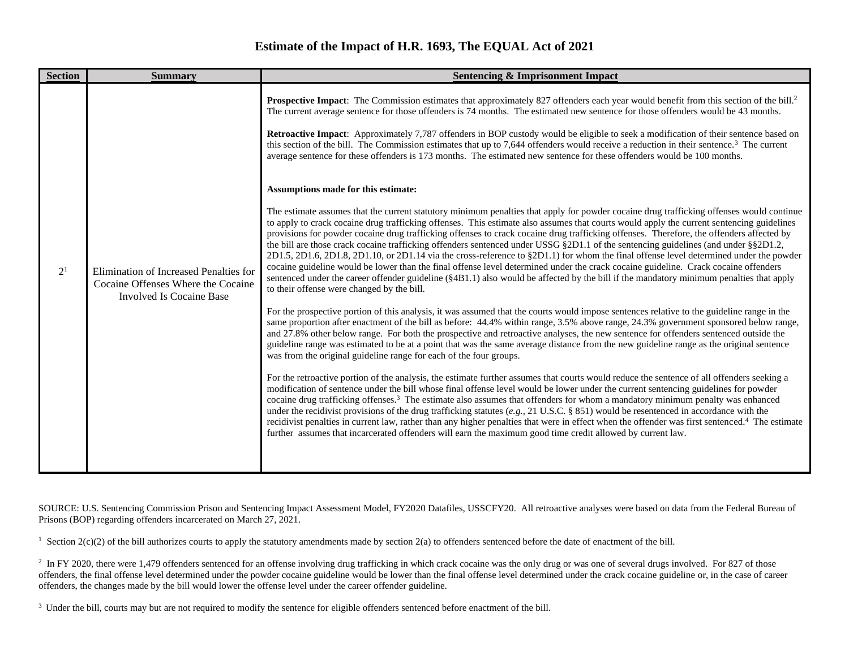## **Estimate of the Impact of H.R. 1693, The EQUAL Act of 2021**

| <b>Section</b> | <b>Summary</b><br><b>Sentencing &amp; Imprisonment Impact</b>                                                   |                                                                                                                                                                                                                                                                                                                                                                                                                                                                                                                                                                                                                                                                                                                                                                                                                                                                                                                                                                                                                                                                                                                                                                                                                                                                                                                                                                                                                                                                                                                                                                                                                                                                                                                                                                                                                                                                                                                                                                    |  |  |  |  |  |  |  |
|----------------|-----------------------------------------------------------------------------------------------------------------|--------------------------------------------------------------------------------------------------------------------------------------------------------------------------------------------------------------------------------------------------------------------------------------------------------------------------------------------------------------------------------------------------------------------------------------------------------------------------------------------------------------------------------------------------------------------------------------------------------------------------------------------------------------------------------------------------------------------------------------------------------------------------------------------------------------------------------------------------------------------------------------------------------------------------------------------------------------------------------------------------------------------------------------------------------------------------------------------------------------------------------------------------------------------------------------------------------------------------------------------------------------------------------------------------------------------------------------------------------------------------------------------------------------------------------------------------------------------------------------------------------------------------------------------------------------------------------------------------------------------------------------------------------------------------------------------------------------------------------------------------------------------------------------------------------------------------------------------------------------------------------------------------------------------------------------------------------------------|--|--|--|--|--|--|--|
| 2 <sup>1</sup> | Elimination of Increased Penalties for<br>Cocaine Offenses Where the Cocaine<br><b>Involved Is Cocaine Base</b> | <b>Prospective Impact:</b> The Commission estimates that approximately 827 offenders each year would benefit from this section of the bill. <sup>2</sup><br>The current average sentence for those offenders is 74 months. The estimated new sentence for those offenders would be 43 months.<br>Retroactive Impact: Approximately 7,787 offenders in BOP custody would be eligible to seek a modification of their sentence based on<br>this section of the bill. The Commission estimates that up to 7,644 offenders would receive a reduction in their sentence. <sup>3</sup> The current<br>average sentence for these offenders is 173 months. The estimated new sentence for these offenders would be 100 months.<br>Assumptions made for this estimate:<br>The estimate assumes that the current statutory minimum penalties that apply for powder cocaine drug trafficking offenses would continue<br>to apply to crack cocaine drug trafficking offenses. This estimate also assumes that courts would apply the current sentencing guidelines<br>provisions for powder cocaine drug trafficking offenses to crack cocaine drug trafficking offenses. Therefore, the offenders affected by<br>the bill are those crack cocaine trafficking offenders sentenced under USSG §2D1.1 of the sentencing guidelines (and under §§2D1.2,<br>2D1.5, 2D1.6, 2D1.8, 2D1.10, or 2D1.14 via the cross-reference to §2D1.1) for whom the final offense level determined under the powder<br>cocaine guideline would be lower than the final offense level determined under the crack cocaine guideline. Crack cocaine offenders<br>sentenced under the career offender guideline (§4B1.1) also would be affected by the bill if the mandatory minimum penalties that apply<br>to their offense were changed by the bill.<br>For the prospective portion of this analysis, it was assumed that the courts would impose sentences relative to the guideline range in the |  |  |  |  |  |  |  |
|                |                                                                                                                 | same proportion after enactment of the bill as before: 44.4% within range, 3.5% above range, 24.3% government sponsored below range,<br>and 27.8% other below range. For both the prospective and retroactive analyses, the new sentence for offenders sentenced outside the<br>guideline range was estimated to be at a point that was the same average distance from the new guideline range as the original sentence<br>was from the original guideline range for each of the four groups.<br>For the retroactive portion of the analysis, the estimate further assumes that courts would reduce the sentence of all offenders seeking a<br>modification of sentence under the bill whose final offense level would be lower under the current sentencing guidelines for powder<br>cocaine drug trafficking offenses. <sup>3</sup> The estimate also assumes that offenders for whom a mandatory minimum penalty was enhanced<br>under the recidivist provisions of the drug trafficking statutes (e.g., 21 U.S.C. § 851) would be resentenced in accordance with the<br>recidivist penalties in current law, rather than any higher penalties that were in effect when the offender was first sentenced. <sup>4</sup> The estimate<br>further assumes that incarcerated offenders will earn the maximum good time credit allowed by current law.                                                                                                                                                                                                                                                                                                                                                                                                                                                                                                                                                                                                               |  |  |  |  |  |  |  |

SOURCE: U.S. Sentencing Commission Prison and Sentencing Impact Assessment Model, FY2020 Datafiles, USSCFY20. All retroactive analyses were based on data from the Federal Bureau of Prisons (BOP) regarding offenders incarcerated on March 27, 2021.

<sup>1</sup> Section  $2(c)(2)$  of the bill authorizes courts to apply the statutory amendments made by section  $2(a)$  to offenders sentenced before the date of enactment of the bill.

<sup>2</sup> In FY 2020, there were 1,479 offenders sentenced for an offense involving drug trafficking in which crack cocaine was the only drug or was one of several drugs involved. For 827 of those offenders, the final offense level determined under the powder cocaine guideline would be lower than the final offense level determined under the crack cocaine guideline or, in the case of career offenders, the changes made by the bill would lower the offense level under the career offender guideline.

<sup>3</sup> Under the bill, courts may but are not required to modify the sentence for eligible offenders sentenced before enactment of the bill.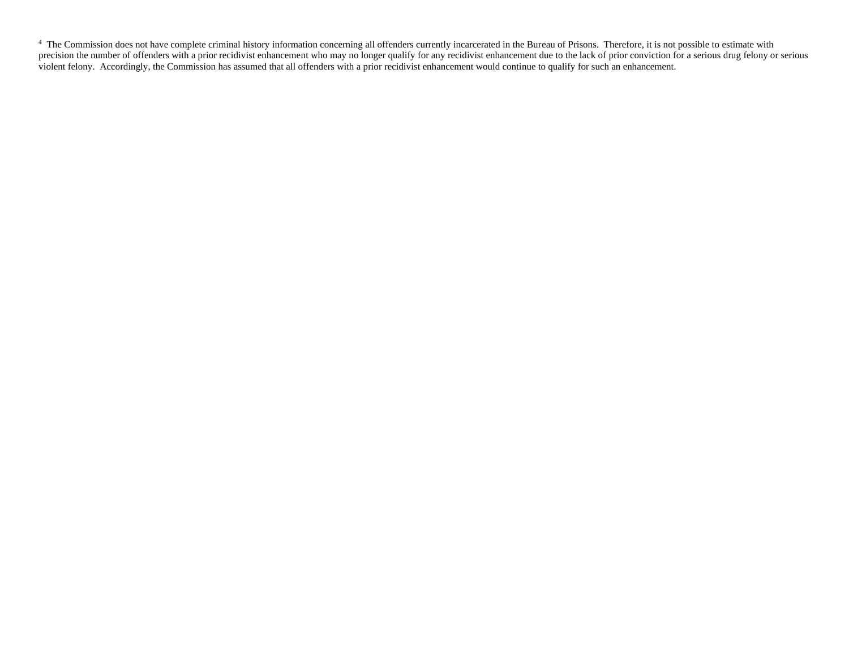<sup>4</sup> The Commission does not have complete criminal history information concerning all offenders currently incarcerated in the Bureau of Prisons. Therefore, it is not possible to estimate with precision the number of offenders with a prior recidivist enhancement who may no longer qualify for any recidivist enhancement due to the lack of prior conviction for a serious drug felony or serious violent felony. Accordingly, the Commission has assumed that all offenders with a prior recidivist enhancement would continue to qualify for such an enhancement.